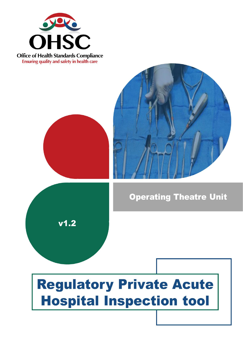

**Office of Health Standards Compliance Ensuring quality and safety in health care** 

 $v1.2$ 



## **Operating Theatre Unit**

# **Regulatory Private Acute Hospital Inspection tool**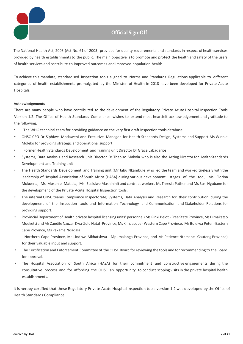

## **Official Sign-Off**

The National Health Act, 2003 (Act No. 61 of 2003) provides for quality requirements and standards in respect of health services provided by health establishmentsto the public. The main objective isto promote and protect the health and safety of the users of health services and contribute to improved outcomes and improved population health.

To achieve this mandate, standardised inspection tools aligned to Norms and Standards Regulations applicable to different categories of health establishments promulgated by the Minister of Health in 2018 have been developed for Private Acute Hospitals.

#### **Acknowledgements**

There are many people who have contributed to the development of the Regulatory Private Acute Hospital Inspection Tools Version 1.2. The Office of Health Standards Compliance wishes to extend most heartfelt acknowledgement and gratitude to the following:

- The WHO technical team for providing guidance on the very first draft inspection tools database
- OHSC CEO Dr Siphiwe Mndaweni and Executive Manager for Health Standards Design, Systems and Support Ms Winnie Moleko for providing strategic and operational support.
- Former Health Standards Development and Training unit Director Dr Grace Labadarios
- Systems, Data Analysis and Research unit Director Dr Thabiso Makola who is also the Acting Director for Health Standards Development and Training unit
- The Health Standards Development and Training unit (Mr Jabu Nkambule who led the team and worked tirelessly with the leadership of Hospital Association of South Africa (HASA) during various development stages of the tool, Ms Florina Mokoena, Ms Mosehle Matlala, Ms Busisiwe Mashinini) and contract workers Ms Thresia Pather and Ms Busi Ngubane for the development of the Private Acute Hospital Inspection tools.
- The internal OHSC teams Compliance Inspectorate; Systems, Data Analysis and Research for their contribution during the development of the Inspection tools and Information Technology and Communication and Stakeholder Relations for providing support.
- Provincial Department of Health private hospital licensing units' personnel (Ms Pinki Belot Free State Province, Ms Dimakatso Moeketsi and Ms Zandile Nzuza - Kwa-Zulu Natal-Province, Ms Kim Jacobs - Western Cape Province, Ms Bulelwa Peter - Eastern Cape Province, Ms Pakama Nqadala

- Northern Cape Province, Ms Lindiwe Mkhatshwa - Mpumalanga Province, and Ms Patience Ntamane -Gauteng Province) for their valuable input and support.

- The Certification and Enforcement Committee of the OHSC Board for reviewing the tools and for recommending to the Board for approval.
- The Hospital Association of South Africa (HASA) for their commitment and constructive engagements during the consultative process and for affording the OHSC an opportunity to conduct scoping visits in the private hospital health establishments.

It is hereby certified that these Regulatory Private Acute Hospital Inspection tools version 1.2 was developed by the Office of Health Standards Compliance.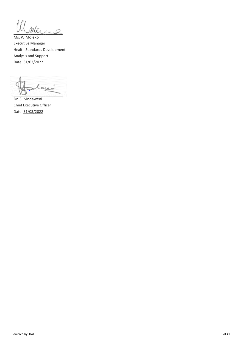$\mathcal{Q}$ leure

Ms. W Moleko Executive Manager Health Standards Development Analysis and Support Date: 31/03/2022

أدييه "≈  $\sim$   $\sim$ 

Dr. S. Mndaweni Chief Executive Officer Date: 31/03/2022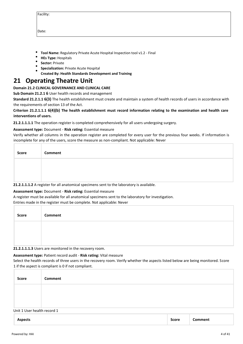| acilit <sup>.</sup> |  |
|---------------------|--|
|                     |  |

Date:

- **Tool Name:** Regulatory Private Acute Hospital Inspection tool v1.2 Final
- **HEs Type:** Hospitals
- **Sector:** Private
- **Specialization:** Private Acute Hospital
- **Created By: Health Standards Development and Training**

## **21 Operating Theatre Unit**

#### **Domain 21.2 CLINICAL GOVERNANCE AND CLINICAL CARE**

**Sub Domain 21.2.1 6** User health records and management

**Standard 21.2.1.1 6(3)** The health establishment must create and maintain a system of health records of users in accordance with the requirements of section 13 of the Act.

#### **Criterion 21.2.1.1.1 6(4)(b) The health establishment must record information relating to the examination and health care interventions of users.**

**21.2.1.1.1.1** The operation register is completed comprehensively for all users undergoing surgery.

#### **Assessment type:** Document - **Risk rating:** Essential measure

Verify whether all columns in the operation register are completed for every user for the previous four weeks. If information is incomplete for any of the users, score the measure as non-compliant. Not applicable: Never

| Score | Comment |
|-------|---------|
|       |         |
|       |         |

**21.2.1.1.1.2** A register for all anatomical specimens sent to the laboratory is available.

#### **Assessment type:** Document - **Risk rating:** Essential measure

A register must be available for all anatomical specimens sent to the laboratory for investigation.

Entries made in the register must be complete. Not applicable: Never

| Score | Comment |
|-------|---------|
|       |         |
|       |         |

**21.2.1.1.1.3** Users are monitored in the recovery room.

#### **Assessment type:** Patient record audit - **Risk rating:** Vital measure

Select the health records of three users in the recovery room. Verify whether the aspects listed below are being monitored. Score 1 if the aspect is compliant is 0 if not compliant.

| Score                       | Comment |
|-----------------------------|---------|
|                             |         |
|                             |         |
| Unit 1 User health record 1 |         |

| <b>Aspects</b> | Score | :omment |
|----------------|-------|---------|
|                |       |         |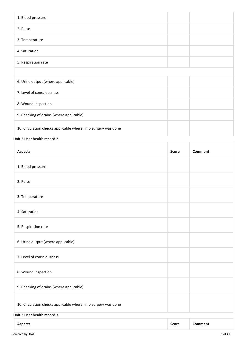| 1. Blood pressure                                             |  |  |
|---------------------------------------------------------------|--|--|
| 2. Pulse                                                      |  |  |
| 3. Temperature                                                |  |  |
| 4. Saturation                                                 |  |  |
| 5. Respiration rate                                           |  |  |
|                                                               |  |  |
| 6. Urine output (where applicable)                            |  |  |
| 7. Level of consciousness                                     |  |  |
| 8. Wound Inspection                                           |  |  |
| 9. Checking of drains (where applicable)                      |  |  |
| 10. Circulation checks applicable where limb surgery was done |  |  |

Unit 2 User health record 2

| <b>Aspects</b>                                                | <b>Score</b> | <b>Comment</b> |  |
|---------------------------------------------------------------|--------------|----------------|--|
| 1. Blood pressure                                             |              |                |  |
| 2. Pulse                                                      |              |                |  |
| 3. Temperature                                                |              |                |  |
| 4. Saturation                                                 |              |                |  |
| 5. Respiration rate                                           |              |                |  |
| 6. Urine output (where applicable)                            |              |                |  |
| 7. Level of consciousness                                     |              |                |  |
| 8. Wound Inspection                                           |              |                |  |
| 9. Checking of drains (where applicable)                      |              |                |  |
| 10. Circulation checks applicable where limb surgery was done |              |                |  |
| Unit 3 User health record 3                                   |              |                |  |

| <b>Aspects</b> | Score | Comment: |
|----------------|-------|----------|
|----------------|-------|----------|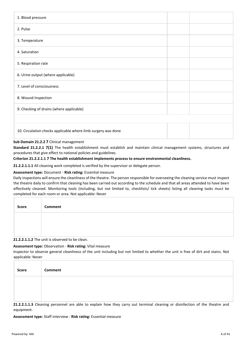| 1. Blood pressure                                             |  |  |
|---------------------------------------------------------------|--|--|
| 2. Pulse                                                      |  |  |
| 3. Temperature                                                |  |  |
| 4. Saturation                                                 |  |  |
| 5. Respiration rate                                           |  |  |
| 6. Urine output (where applicable)                            |  |  |
| 7. Level of consciousness                                     |  |  |
| 8. Wound Inspection                                           |  |  |
| 9. Checking of drains (where applicable)                      |  |  |
|                                                               |  |  |
| 10. Circulation checks applicable where limb surgery was done |  |  |

#### **Sub Domain 21.2.2 7** Clinical management

**Standard 21.2.2.1 7(1)** The health establishment must establish and maintain clinical management systems, structures and procedures that give effect to national policies and guidelines.

#### **Criterion 21.2.2.1.1 7 The health establishment implements process to ensure environmental cleanliness.**

**21.2.2.1.1.1** All cleaning work completed is verified by the supervisor or delegate person.

#### **Assessment type:** Document - **Risk rating:** Essential measure

Daily inspections will ensure the cleanliness of the theatre. The person responsible for overseeing the cleaning service must inspect the theatre daily to confirm that cleaning has been carried out according to the schedule and that all areas attended to have been effectively cleaned. Monitoring tools (including, but not limited to, checklists/ tick sheets) listing all cleaning tasks must be completed for each room or area. Not applicable: Never

| Score | Comment |
|-------|---------|
|       |         |
|       |         |

#### **21.2.2.1.1.2** The unit is observed to be clean.

#### **Assessment type:** Observation - **Risk rating:** Vital measure

Inspector to observe general cleanliness of the unit including but not limited to whether the unit is free of dirt and stains. Not applicable: Never

| Score | Comment |
|-------|---------|
|       |         |
|       |         |

**21.2.2.1.1.3** Cleaning personnel are able to explain how they carry out terminal cleaning or disinfection of the theatre and equipment.

#### **Assessment type:** Staff interview - **Risk rating:** Essential measure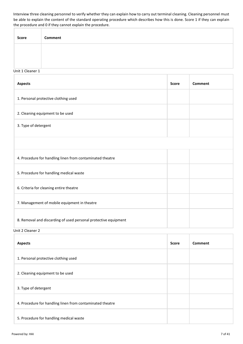Interview three cleaning personnel to verify whether they can explain how to carry out terminal cleaning. Cleaning personnel must be able to explain the content of the standard operating procedure which describes how this is done. Score 1 if they can explain the procedure and 0 if they cannot explain the procedure.

| <b>Score</b> | Comment |
|--------------|---------|
|              |         |
|              |         |

#### Unit 1 Cleaner 1

| <b>Aspects</b>                                                  | <b>Score</b> | <b>Comment</b> |  |
|-----------------------------------------------------------------|--------------|----------------|--|
| 1. Personal protective clothing used                            |              |                |  |
| 2. Cleaning equipment to be used                                |              |                |  |
| 3. Type of detergent                                            |              |                |  |
|                                                                 |              |                |  |
| 4. Procedure for handling linen from contaminated theatre       |              |                |  |
| 5. Procedure for handling medical waste                         |              |                |  |
| 6. Criteria for cleaning entire theatre                         |              |                |  |
| 7. Management of mobile equipment in theatre                    |              |                |  |
| 8. Removal and discarding of used personal protective equipment |              |                |  |

Unit 2 Cleaner 2

| <b>Aspects</b>                                            |  | <b>Comment</b> |
|-----------------------------------------------------------|--|----------------|
| 1. Personal protective clothing used                      |  |                |
| 2. Cleaning equipment to be used                          |  |                |
| 3. Type of detergent                                      |  |                |
| 4. Procedure for handling linen from contaminated theatre |  |                |
| 5. Procedure for handling medical waste                   |  |                |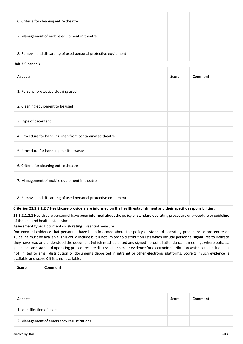| 6. Criteria for cleaning entire theatre                         |  |
|-----------------------------------------------------------------|--|
| 7. Management of mobile equipment in theatre                    |  |
| 8. Removal and discarding of used personal protective equipment |  |

#### Unit 3 Cleaner 3

| <b>Aspects</b>                                                                                                                                                                      | <b>Score</b> | Comment |  |
|-------------------------------------------------------------------------------------------------------------------------------------------------------------------------------------|--------------|---------|--|
| 1. Personal protective clothing used                                                                                                                                                |              |         |  |
| 2. Cleaning equipment to be used                                                                                                                                                    |              |         |  |
| 3. Type of detergent                                                                                                                                                                |              |         |  |
| 4. Procedure for handling linen from contaminated theatre                                                                                                                           |              |         |  |
| 5. Procedure for handling medical waste                                                                                                                                             |              |         |  |
| 6. Criteria for cleaning entire theatre                                                                                                                                             |              |         |  |
| 7. Management of mobile equipment in theatre                                                                                                                                        |              |         |  |
| 8. Removal and discarding of used personal protective equipment<br>$\mathbf{r}$ , and $\mathbf{r}$ , and $\mathbf{r}$ , and $\mathbf{r}$ , and $\mathbf{r}$ , and $\mathbf{r}$<br>. |              |         |  |

#### **Criterion 21.2.2.1.2 7 Healthcare providers are informed on the health establishment and their specific responsibilities.**

**21.2.2.1.2.1** Health care personnel have been informed about the policy or standard operating procedure or procedure or guideline of the unit and health establishment.

#### **Assessment type:** Document - **Risk rating:** Essential measure

Documented evidence that personnel have been informed about the policy or standard operating procedure or procedure or guideline must be available. This could include but is not limited to distribution lists which include personnel signatures to indicate they have read and understood the document (which must be dated and signed), proof of attendance at meetings where policies, guidelines and standard operating procedures are discussed, or similar evidence for electronic distribution which could include but not limited to email distribution or documents deposited in intranet or other electronic platforms. Score 1 if such evidence is available and score 0 if it is not available.

| <b>Score</b>                              | <b>Comment</b> |  |  |
|-------------------------------------------|----------------|--|--|
|                                           |                |  |  |
|                                           |                |  |  |
| Comment<br><b>Aspects</b><br><b>Score</b> |                |  |  |
| 1. Identification of users                |                |  |  |
| 2. Management of emergency resuscitations |                |  |  |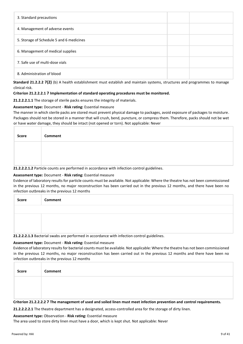| 3. Standard precautions                  |  |  |  |  |
|------------------------------------------|--|--|--|--|
| 4. Management of adverse events          |  |  |  |  |
| 5. Storage of Schedule 5 and 6 medicines |  |  |  |  |
| 6. Management of medical supplies        |  |  |  |  |
| 7. Safe use of multi-dose vials          |  |  |  |  |
| 8. Administration of blood               |  |  |  |  |

**Standard 21.2.2.2 7(2)** (b) A health establishment must establish and maintain systems, structures and programmes to manage clinical risk.

#### **Criterion 21.2.2.2.1 7 Implementation of standard operating procedures must be monitored.**

**21.2.2.2.1.1** The storage of sterile packs ensures the integrity of materials.

#### **Assessment type:** Document - **Risk rating:** Essential measure

The manner in which sterile packs are stored must prevent physical damage to packages, avoid exposure of packages to moisture. Packages should not be stored in a manner that will crush, bend, puncture, or compress them. Therefore, packs should not be wet or have water damage, they should be intact (not opened or torn). Not applicable: Never

| <b>Score</b>                                                                                | <b>Comment</b> |
|---------------------------------------------------------------------------------------------|----------------|
|                                                                                             |                |
|                                                                                             |                |
| 21.2.2.2.1.2 Particle counts are performed in accordance with infection control guidelines. |                |

#### **Assessment type:** Document - **Risk rating:** Essential measure

Evidence of laboratory results for particle counts must be available. Not applicable: Where the theatre has not been commissioned in the previous 12 months, no major reconstruction has been carried out in the previous 12 months, and there have been no infection outbreaks in the previous 12 months

| Score | Comment |
|-------|---------|
|       |         |
|       |         |
|       |         |

**21.2.2.2.1.3** Bacterial swabs are performed in accordance with infection control guidelines.

#### **Assessment type:** Document - **Risk rating:** Essential measure

Evidence of laboratory results for bacterial counts must be available. Not applicable: Where the theatre has not been commissioned in the previous 12 months, no major reconstruction has been carried out in the previous 12 months and there have been no infection outbreaks in the previous 12 months

| Score | Comment |
|-------|---------|
|       |         |
|       |         |

**Criterion 21.2.2.2.2 7 The management of used and soiled linen must meet infection prevention and control requirements.**

**21.2.2.2.2.1** The theatre department has a designated, access-controlled area for the storage of dirty linen.

#### **Assessment type:** Observation - **Risk rating:** Essential measure

The area used to store dirty linen must have a door, which is kept shut. Not applicable: Never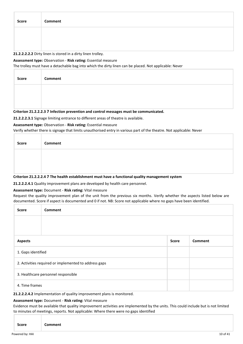| Score | Comment |
|-------|---------|
|       |         |
|       |         |

#### **21.2.2.2.2.2** Dirty linen is stored in a dirty linen trolley.

#### **Assessment type:** Observation - **Risk rating:** Essential measure

The trolley must have a detachable bag into which the dirty linen can be placed. Not applicable: Never

| <b>Score</b>                                                                           | <b>Comment</b> |
|----------------------------------------------------------------------------------------|----------------|
|                                                                                        |                |
|                                                                                        |                |
| Criterion 21.2.2.2.3 7 Infection prevention and control messages must be communicated. |                |

**21.2.2.2.3.1** Signage limiting entrance to different areas of theatre is available.

#### **Assessment type:** Observation - **Risk rating:** Essential measure

Verify whether there is signage that limits unauthorised entry in various part of the theatre. Not applicable: Never

| Score                                                                                               | Comment |
|-----------------------------------------------------------------------------------------------------|---------|
|                                                                                                     |         |
|                                                                                                     |         |
| Critorian 21, 2, 2, 2, 7, The health establishment must have a functional quality management system |         |

#### **Criterion 21.2.2.2.4 7 The health establishment must have a functional quality management system**

**21.2.2.2.4.1** Quality improvement plans are developed by health care personnel.

#### **Assessment type:** Document - **Risk rating:** Vital measure

Request the quality improvement plan of the unit from the previous six months. Verify whether the aspects listed below are documented. Score if aspect is documented and 0 if not. NB: Score not applicable where no gaps have been identified.

| <b>Score</b>                                          | <b>Comment</b>     |  |  |
|-------------------------------------------------------|--------------------|--|--|
|                                                       |                    |  |  |
|                                                       |                    |  |  |
| <b>Comment</b><br><b>Aspects</b><br><b>Score</b>      |                    |  |  |
|                                                       | 1. Gaps identified |  |  |
| 2. Activities required or implemented to address gaps |                    |  |  |
| 3. Healthcare personnel responsible                   |                    |  |  |
|                                                       | 4. Time frames     |  |  |

**21.2.2.2.4.2** Implementation of quality improvement plans is monitored.

#### **Assessment type:** Document - **Risk rating:** Vital measure

Evidence must be available that quality improvement activities are implemented by the units. This could include but is not limited to minutes of meetings, reports. Not applicable: Where there were no gaps identified

| <b>Score</b><br>`ommont<br>- - - - |  |
|------------------------------------|--|
|------------------------------------|--|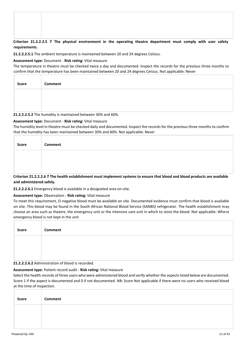#### **Criterion 21.2.2.2.5 7 The physical environment in the operating theatre department must comply with user safety requirements.**

**21.2.2.2.5.1** The ambient temperature is maintained between 20 and 24 degrees Celsius.

**Assessment type:** Document - **Risk rating:** Vital measure

The temperature in theatre must be checked twice a day and documented. Inspect the records for the previous three months to confirm that the temperature has been maintained between 20 and 24 degrees Celsius. Not applicable: Never

| Score | Comment                                                                                                              |
|-------|----------------------------------------------------------------------------------------------------------------------|
|       |                                                                                                                      |
|       |                                                                                                                      |
|       | 그 사람들은 그 사람들은 그 사람들을 지르며 그 사람들을 지르며 그 사람들을 지르며 그 사람들을 지르며 그 사람들을 지르며 그 사람들을 지르며 그 사람들을 지르며 그 사람들을 지르며 그 사람들을 지르며 그 사 |

#### **21.2.2.2.5.2** The humidity is maintained between 30% and 60%.

#### **Assessment type:** Document - **Risk rating:** Vital measure

The humidity level in theatre must be checked daily and documented. Inspect the records for the previous three months to confirm that the humidity has been maintained between 30% and 60%. Not applicable: Never

| Score        | Comment                                                                                                                                                                                                                                               |
|--------------|-------------------------------------------------------------------------------------------------------------------------------------------------------------------------------------------------------------------------------------------------------|
|              |                                                                                                                                                                                                                                                       |
|              |                                                                                                                                                                                                                                                       |
| - - -<br>--- | .<br>$\mathbf{a} \cdot \mathbf{a}$ . The set of the set of the set of the set of the set of the set of the set of the set of the set of the set of the set of the set of the set of the set of the set of the set of the set of the set of the<br>--- |

**Criterion 21.2.2.2.6 7 The health establishment must implement systems to ensure that blood and blood products are available and administered safely.**

**21.2.2.2.6.1** Emergency blood is available in a designated area on-site.

#### **Assessment type:** Observation - **Risk rating:** Vital measure

To meet this requirement, O-negative blood must be available on site. Documented evidence must confirm that blood is available on site. This blood may be found in the South African National Blood Service (SANBS) refrigerator. The health establishment may choose an area such as theatre, the emergency unit or the intensive care unit in which to store the blood. Not applicable: Where emergency blood is not kept in the unit

| <b>Score</b> | Comment                                          |
|--------------|--------------------------------------------------|
|              |                                                  |
|              | <b>C.C.</b> Administration of blood is reserved. |

**21.2.2.2.6.2** Administration of blood is recorded.

#### **Assessment type:** Patient record audit - **Risk rating:** Vital measure

Select the health records of three users who were administered blood and verify whether the aspects listed below are documented. Score 1 if the aspect is documented and 0 if not documented. NB: Score Not applicable if there were no users who received blood at the time of inspection.

| Score | Comment |
|-------|---------|
|       |         |
|       |         |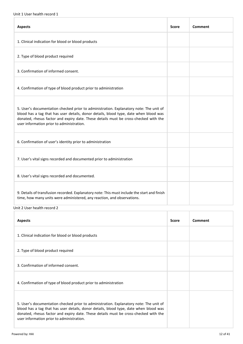| <b>Aspects</b>                                                                                                                                                                                                                                                                                                       | Score | Comment |
|----------------------------------------------------------------------------------------------------------------------------------------------------------------------------------------------------------------------------------------------------------------------------------------------------------------------|-------|---------|
| 1. Clinical indication for blood or blood products                                                                                                                                                                                                                                                                   |       |         |
| 2. Type of blood product required                                                                                                                                                                                                                                                                                    |       |         |
| 3. Confirmation of informed consent.                                                                                                                                                                                                                                                                                 |       |         |
| 4. Confirmation of type of blood product prior to administration                                                                                                                                                                                                                                                     |       |         |
| 5. User's documentation checked prior to administration. Explanatory note: The unit of<br>blood has a tag that has user details, donor details, blood type, date when blood was<br>donated, rhesus factor and expiry date. These details must be cross-checked with the<br>user information prior to administration. |       |         |
| 6. Confirmation of user's identity prior to administration                                                                                                                                                                                                                                                           |       |         |
| 7. User's vital signs recorded and documented prior to administration                                                                                                                                                                                                                                                |       |         |
| 8. User's vital signs recorded and documented.                                                                                                                                                                                                                                                                       |       |         |
| 9. Details of transfusion recorded. Explanatory note: This must include the start and finish<br>time, how many units were administered, any reaction, and observations.                                                                                                                                              |       |         |

#### Unit 2 User health record 2

| <b>Aspects</b>                                                                                                                                                                                                                                                                                                       | <b>Score</b> | Comment |
|----------------------------------------------------------------------------------------------------------------------------------------------------------------------------------------------------------------------------------------------------------------------------------------------------------------------|--------------|---------|
| 1. Clinical indication for blood or blood products                                                                                                                                                                                                                                                                   |              |         |
| 2. Type of blood product required                                                                                                                                                                                                                                                                                    |              |         |
| 3. Confirmation of informed consent.                                                                                                                                                                                                                                                                                 |              |         |
| 4. Confirmation of type of blood product prior to administration                                                                                                                                                                                                                                                     |              |         |
| 5. User's documentation checked prior to administration. Explanatory note: The unit of<br>blood has a tag that has user details, donor details, blood type, date when blood was<br>donated, rhesus factor and expiry date. These details must be cross-checked with the<br>user information prior to administration. |              |         |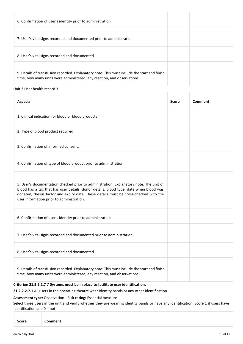| 6. Confirmation of user's identity prior to administration                                                                                                              |  |
|-------------------------------------------------------------------------------------------------------------------------------------------------------------------------|--|
| 7. User's vital signs recorded and documented prior to administration                                                                                                   |  |
| 8. User's vital signs recorded and documented.                                                                                                                          |  |
| 9. Details of transfusion recorded. Explanatory note: This must include the start and finish<br>time, how many units were administered, any reaction, and observations. |  |

#### Unit 3 User health record 3

| <b>Aspects</b>                                                                                                                                                                                                                                                                                                       | <b>Score</b> | Comment |
|----------------------------------------------------------------------------------------------------------------------------------------------------------------------------------------------------------------------------------------------------------------------------------------------------------------------|--------------|---------|
| 1. Clinical indication for blood or blood products                                                                                                                                                                                                                                                                   |              |         |
| 2. Type of blood product required                                                                                                                                                                                                                                                                                    |              |         |
| 3. Confirmation of informed consent.                                                                                                                                                                                                                                                                                 |              |         |
| 4. Confirmation of type of blood product prior to administration                                                                                                                                                                                                                                                     |              |         |
| 5. User's documentation checked prior to administration. Explanatory note: The unit of<br>blood has a tag that has user details, donor details, blood type, date when blood was<br>donated, rhesus factor and expiry date. These details must be cross-checked with the<br>user information prior to administration. |              |         |
| 6. Confirmation of user's identity prior to administration                                                                                                                                                                                                                                                           |              |         |
| 7. User's vital signs recorded and documented prior to administration                                                                                                                                                                                                                                                |              |         |
| 8. User's vital signs recorded and documented.                                                                                                                                                                                                                                                                       |              |         |
| 9. Details of transfusion recorded. Explanatory note: This must include the start and finish<br>time, how many units were administered, any reaction, and observations.                                                                                                                                              |              |         |

#### **Criterion 21.2.2.2.7 7 Systems must be in place to facilitate user identification.**

**21.2.2.2.7.1** All users in the operating theatre wear identity bands or any other identification.

#### **Assessment type:** Observation - **Risk rating:** Essential measure

Select three users in the unit and verify whether they are wearing identity bands or have any identification. Score 1 if users have identification and 0 if not.

| Score<br><b>Comment</b> |
|-------------------------|
|-------------------------|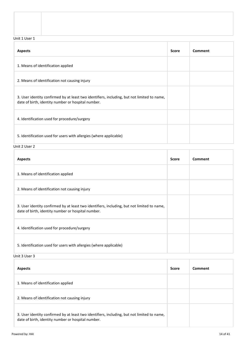Unit 1 User 1

| <b>Aspects</b>                                                                                                                                    | <b>Score</b> | Comment |
|---------------------------------------------------------------------------------------------------------------------------------------------------|--------------|---------|
| 1. Means of identification applied                                                                                                                |              |         |
| 2. Means of identification not causing injury                                                                                                     |              |         |
| 3. User identity confirmed by at least two identifiers, including, but not limited to name,<br>date of birth, identity number or hospital number. |              |         |
| 4. Identification used for procedure/surgery                                                                                                      |              |         |
| 5. Identification used for users with allergies (where applicable)                                                                                |              |         |

Unit 2 User 2

| <b>Aspects</b>                                                                                                                                    | <b>Score</b> | Comment |
|---------------------------------------------------------------------------------------------------------------------------------------------------|--------------|---------|
| 1. Means of identification applied                                                                                                                |              |         |
| 2. Means of identification not causing injury                                                                                                     |              |         |
| 3. User identity confirmed by at least two identifiers, including, but not limited to name,<br>date of birth, identity number or hospital number. |              |         |
| 4. Identification used for procedure/surgery                                                                                                      |              |         |
| 5. Identification used for users with allergies (where applicable)                                                                                |              |         |

Unit 3 User 3

| <b>Aspects</b>                                                                                                                                    | <b>Score</b> | Comment |
|---------------------------------------------------------------------------------------------------------------------------------------------------|--------------|---------|
| 1. Means of identification applied                                                                                                                |              |         |
| 2. Means of identification not causing injury                                                                                                     |              |         |
| 3. User identity confirmed by at least two identifiers, including, but not limited to name,<br>date of birth, identity number or hospital number. |              |         |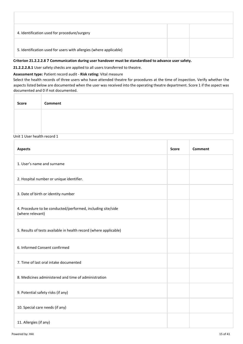| 4. Identification used for procedure/surgery                       |  |  |
|--------------------------------------------------------------------|--|--|
| 5. Identification used for users with allergies (where applicable) |  |  |
|                                                                    |  |  |

#### **Criterion 21.2.2.2.8 7 Communication during user handover must be standardised to advance user safety.**

**21.2.2.2.8.1** User safety checks are applied to all users transferred to theatre.

#### **Assessment type:** Patient record audit - **Risk rating:** Vital measure

Select the health records of three users who have attended theatre for procedures at the time of inspection. Verify whether the aspects listed below are documented when the user was received into the operating theatre department. Score 1 if the aspect was documented and 0 if not documented.

| <b>Score</b> | Comment |
|--------------|---------|
|              |         |
|              |         |

#### Unit 1 User health record 1

| <b>Aspects</b>                                                                  | <b>Score</b> | Comment |
|---------------------------------------------------------------------------------|--------------|---------|
| 1. User's name and surname                                                      |              |         |
| 2. Hospital number or unique identifier.                                        |              |         |
| 3. Date of birth or identity number                                             |              |         |
| 4. Procedure to be conducted/performed, including site/side<br>(where relevant) |              |         |
| 5. Results of tests available in health record (where applicable)               |              |         |
| 6. Informed Consent confirmed                                                   |              |         |
| 7. Time of last oral intake documented                                          |              |         |
| 8. Medicines administered and time of administration                            |              |         |
| 9. Potential safety risks (if any)                                              |              |         |
| 10. Special care needs (if any)                                                 |              |         |
| 11. Allergies (if any)                                                          |              |         |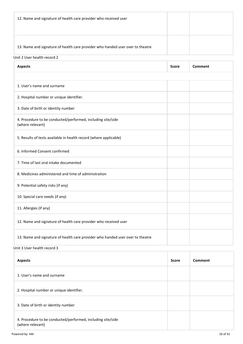| 12. Name and signature of health care provider who received user               |  |
|--------------------------------------------------------------------------------|--|
| 13. Name and signature of health care provider who handed user over to theatre |  |

#### Unit 2 User health record 2

| <b>Aspects</b>                                                                                                                                                                     | <b>Score</b> | Comment |
|------------------------------------------------------------------------------------------------------------------------------------------------------------------------------------|--------------|---------|
|                                                                                                                                                                                    |              |         |
| 1. User's name and surname                                                                                                                                                         |              |         |
| 2. Hospital number or unique identifier.                                                                                                                                           |              |         |
| 3. Date of birth or identity number                                                                                                                                                |              |         |
| 4. Procedure to be conducted/performed, including site/side<br>(where relevant)                                                                                                    |              |         |
| 5. Results of tests available in health record (where applicable)                                                                                                                  |              |         |
| 6. Informed Consent confirmed                                                                                                                                                      |              |         |
| 7. Time of last oral intake documented                                                                                                                                             |              |         |
| 8. Medicines administered and time of administration                                                                                                                               |              |         |
| 9. Potential safety risks (if any)                                                                                                                                                 |              |         |
| 10. Special care needs (if any)                                                                                                                                                    |              |         |
| 11. Allergies (if any)                                                                                                                                                             |              |         |
| 12. Name and signature of health care provider who received user                                                                                                                   |              |         |
| 13. Name and signature of health care provider who handed user over to theatre<br>the contract of the contract of the contract of the contract of the contract of<br>$\sim$ $\sim$ |              |         |

Unit 3 User health record 3

| <b>Aspects</b>                                                                  | <b>Score</b> | Comment |
|---------------------------------------------------------------------------------|--------------|---------|
| 1. User's name and surname                                                      |              |         |
| 2. Hospital number or unique identifier.                                        |              |         |
| 3. Date of birth or identity number                                             |              |         |
| 4. Procedure to be conducted/performed, including site/side<br>(where relevant) |              |         |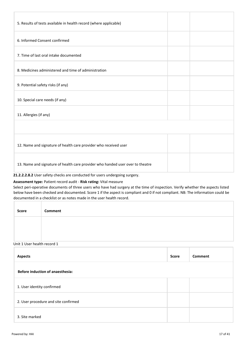| 5. Results of tests available in health record (where applicable)              |  |
|--------------------------------------------------------------------------------|--|
| 6. Informed Consent confirmed                                                  |  |
| 7. Time of last oral intake documented                                         |  |
| 8. Medicines administered and time of administration                           |  |
| 9. Potential safety risks (if any)                                             |  |
| 10. Special care needs (if any)                                                |  |
| 11. Allergies (if any)                                                         |  |
|                                                                                |  |
| 12. Name and signature of health care provider who received user               |  |
| 13. Name and signature of health care provider who handed user over to theatre |  |

#### **21.2.2.2.8.2** User safety checks are conducted for users undergoing surgery.

#### **Assessment type:** Patient record audit - **Risk rating:** Vital measure

Select peri-operative documents of three users who have had surgery at the time of inspection. Verify whether the aspects listed below have been checked and documented. Score 1 if the aspect is compliant and 0 if not compliant. NB: The information could be documented in a checklist or as notes made in the user health record.

| <b>Score</b> | Comment |
|--------------|---------|
|              |         |
|              |         |

#### Unit 1 User health record 1

| <b>Aspects</b>                          | <b>Score</b> | <b>Comment</b> |
|-----------------------------------------|--------------|----------------|
| <b>Before induction of anaesthesia:</b> |              |                |
| 1. User identity confirmed              |              |                |
| 2. User procedure and site confirmed    |              |                |
| 3. Site marked                          |              |                |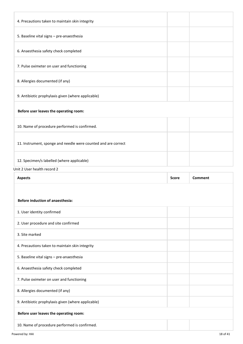| 4. Precautions taken to maintain skin integrity                |              |                |
|----------------------------------------------------------------|--------------|----------------|
| 5. Baseline vital signs - pre-anaesthesia                      |              |                |
| 6. Anaesthesia safety check completed                          |              |                |
| 7. Pulse oximeter on user and functioning                      |              |                |
| 8. Allergies documented (if any)                               |              |                |
| 9. Antibiotic prophylaxis given (where applicable)             |              |                |
| Before user leaves the operating room:                         |              |                |
| 10. Name of procedure performed is confirmed.                  |              |                |
| 11. Instrument, sponge and needle were counted and are correct |              |                |
| 12. Specimen/s labelled (where applicable)                     |              |                |
| Unit 2 User health record 2                                    |              |                |
| <b>Aspects</b>                                                 | <b>Score</b> | <b>Comment</b> |
|                                                                |              |                |
| <b>Before induction of anaesthesia:</b>                        |              |                |
| 1. User identity confirmed                                     |              |                |
| 2. User procedure and site confirmed                           |              |                |
| 3. Site marked                                                 |              |                |
| 4. Precautions taken to maintain skin integrity                |              |                |
| 5. Baseline vital signs - pre-anaesthesia                      |              |                |
|                                                                |              |                |

7. Pulse oximeter on user and functioning

8. Allergies documented (if any)

9. Antibiotic prophylaxis given (where applicable)

### **Before user leaves the operating room:**

10. Name of procedure performed is confirmed.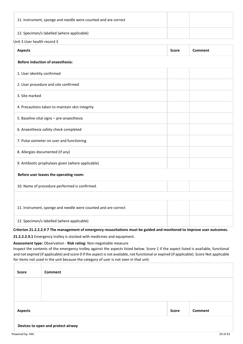| 11. Instrument, sponge and needle were counted and are correct |  |
|----------------------------------------------------------------|--|
| 12. Specimen/s labelled (where applicable)                     |  |

#### Unit 3 User health record 3

| <b>Aspects</b>                                                 | <b>Score</b> | <b>Comment</b> |  |
|----------------------------------------------------------------|--------------|----------------|--|
| <b>Before induction of anaesthesia:</b>                        |              |                |  |
| 1. User identity confirmed                                     |              |                |  |
| 2. User procedure and site confirmed                           |              |                |  |
| 3. Site marked                                                 |              |                |  |
| 4. Precautions taken to maintain skin integrity                |              |                |  |
| 5. Baseline vital signs - pre-anaesthesia                      |              |                |  |
| 6. Anaesthesia safety check completed                          |              |                |  |
| 7. Pulse oximeter on user and functioning                      |              |                |  |
| 8. Allergies documented (if any)                               |              |                |  |
| 9. Antibiotic prophylaxis given (where applicable)             |              |                |  |
| Before user leaves the operating room:                         |              |                |  |
| 10. Name of procedure performed is confirmed.                  |              |                |  |
|                                                                |              |                |  |
| 11. Instrument, sponge and needle were counted and are correct |              |                |  |
| 12. Specimen/s labelled (where applicable)                     |              |                |  |

#### **Criterion 21.2.2.2.9 7 The management of emergency resuscitations must be guided and monitored to improve user outcomes.**

**21.2.2.2.9.1** Emergency trolley is stocked with medicines and equipment.

#### **Assessment type:** Observation - **Risk rating:** Non-negotiable measure

Inspect the contents of the emergency trolley against the aspects listed below. Score 1 if the aspect listed is available, functional and not expired (if applicable) and score 0 if the aspect is not available, not functional or expired (if applicable). Score Not applicable for items not used in the unit because the category of user is not seen in that unit.

| <b>Score</b>   | Comment                            |              |         |
|----------------|------------------------------------|--------------|---------|
|                |                                    |              |         |
|                |                                    |              |         |
| <b>Aspects</b> |                                    | <b>Score</b> | Comment |
|                | Devices to open and protect airway |              |         |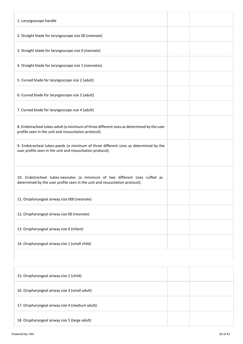| 1. Laryngoscope handle                                                                                                                                      |
|-------------------------------------------------------------------------------------------------------------------------------------------------------------|
| 2. Straight blade for laryngoscope size 00 (neonate)                                                                                                        |
| 3. Straight blade for laryngoscope size 0 (neonate)                                                                                                         |
| 4. Straight blade for laryngoscope size 1 (neonates)                                                                                                        |
| 5. Curved blade for laryngoscope size 2 (adult)                                                                                                             |
| 6. Curved blade for laryngoscope size 3 (adult)                                                                                                             |
| 7. Curved blade for laryngoscope size 4 (adult)                                                                                                             |
| 8. Endotracheal tubes-adult (a minimum of three different sizes as determined by the user<br>profile seen in the unit and resuscitation protocol).          |
| 9. Endotracheal tubes-paeds (a minimum of three different sizes as determined by the<br>user profile seen in the unit and resuscitation protocol).          |
| 10. Endotracheal tubes-neonates (a minimum of two different sizes cuffed as<br>determined by the user profile seen in the unit and resuscitation protocol). |
| 11. Oropharyngeal airway size 000 (neonate)                                                                                                                 |
| 12. Oropharyngeal airway size 00 (neonate)                                                                                                                  |
| 13. Oropharyngeal airway size 0 (infant)                                                                                                                    |
| 14. Oropharyngeal airway size 1 (small child)                                                                                                               |

| 15. Oropharyngeal airway size 2 (child)        |  |
|------------------------------------------------|--|
| 16. Oropharyngeal airway size 3 (small adult)  |  |
| 17. Oropharyngeal airway size 4 (medium adult) |  |
| 18. Oropharyngeal airway size 5 (large adult)  |  |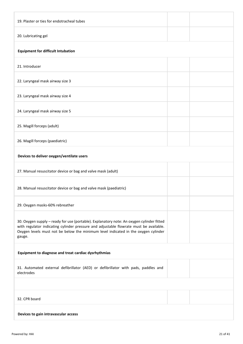| 19. Plaster or ties for endotracheal tubes                                                                                                                                                                                                                                          |  |  |  |
|-------------------------------------------------------------------------------------------------------------------------------------------------------------------------------------------------------------------------------------------------------------------------------------|--|--|--|
| 20. Lubricating gel                                                                                                                                                                                                                                                                 |  |  |  |
| <b>Equipment for difficult Intubation</b>                                                                                                                                                                                                                                           |  |  |  |
| 21. Introducer                                                                                                                                                                                                                                                                      |  |  |  |
| 22. Laryngeal mask airway size 3                                                                                                                                                                                                                                                    |  |  |  |
| 23. Laryngeal mask airway size 4                                                                                                                                                                                                                                                    |  |  |  |
| 24. Laryngeal mask airway size 5                                                                                                                                                                                                                                                    |  |  |  |
| 25. Magill forceps (adult)                                                                                                                                                                                                                                                          |  |  |  |
| 26. Magill forceps (paediatric)                                                                                                                                                                                                                                                     |  |  |  |
| Devices to deliver oxygen/ventilate users                                                                                                                                                                                                                                           |  |  |  |
| 27. Manual resuscitator device or bag and valve mask (adult)                                                                                                                                                                                                                        |  |  |  |
| 28. Manual resuscitator device or bag and valve mask (paediatric)                                                                                                                                                                                                                   |  |  |  |
| 29. Oxygen masks-60% rebreather                                                                                                                                                                                                                                                     |  |  |  |
| 30. Oxygen supply - ready for use (portable). Explanatory note: An oxygen cylinder fitted<br>with regulator indicating cylinder pressure and adjustable flowrate must be available.<br>Oxygen levels must not be below the minimum level indicated in the oxygen cylinder<br>gauge. |  |  |  |
| Equipment to diagnose and treat cardiac dysrhythmias                                                                                                                                                                                                                                |  |  |  |
| 31. Automated external defibrillator (AED) or defibrillator with pads, paddles and<br>electrodes                                                                                                                                                                                    |  |  |  |
|                                                                                                                                                                                                                                                                                     |  |  |  |
| 32. CPR board                                                                                                                                                                                                                                                                       |  |  |  |
| Devices to gain intravascular access                                                                                                                                                                                                                                                |  |  |  |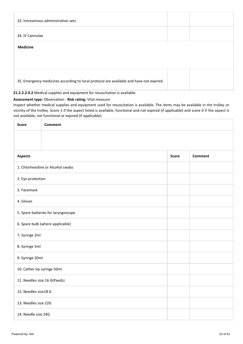| 33. Intravenous administration sets                                                     |  |
|-----------------------------------------------------------------------------------------|--|
| 34. IV Cannulae                                                                         |  |
| <b>Medicine</b>                                                                         |  |
|                                                                                         |  |
| 35. Emergency medicines according to local protocol are available and have not expired. |  |

**21.2.2.2.9.2** Medical supplies and equipment for resuscitation is available.

#### **Assessment type:** Observation - **Risk rating:** Vital measure

Inspect whether medical supplies and equipment used for resuscitation is available. The items may be available in the trolley or vicinity of the trolley. Score 1 if the aspect listed is available, functional and not expired (if applicable) and score 0 if the aspect is not available, not functional or expired (if applicable).

| <b>Score</b>                        | <b>Comment</b>                    |  |  |  |  |
|-------------------------------------|-----------------------------------|--|--|--|--|
|                                     |                                   |  |  |  |  |
|                                     |                                   |  |  |  |  |
| <b>Aspects</b>                      | <b>Comment</b><br><b>Score</b>    |  |  |  |  |
|                                     | 1. Chlorhexidine or Alcohol swabs |  |  |  |  |
| 2. Eye protection                   |                                   |  |  |  |  |
| 3. Facemask                         |                                   |  |  |  |  |
| 4. Gloves                           |                                   |  |  |  |  |
| 5. Spare batteries for laryngoscope |                                   |  |  |  |  |
| 6. Spare bulb (where applicable)    |                                   |  |  |  |  |
| 7. Syringe 2ml                      |                                   |  |  |  |  |
| 8. Syringe 5ml                      |                                   |  |  |  |  |
| 9. Syringe 20ml                     |                                   |  |  |  |  |
| 10. Cather tip syringe 50ml         |                                   |  |  |  |  |
| 11. Needles size 16 G(Paeds)        |                                   |  |  |  |  |
| 12. Needles size18 G                |                                   |  |  |  |  |
|                                     | 13. Needles size 22G              |  |  |  |  |
| 14. Needle size 24G                 |                                   |  |  |  |  |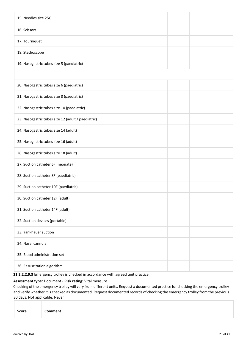| 15. Needles size 25G                                                               |  |
|------------------------------------------------------------------------------------|--|
| 16. Scissors                                                                       |  |
| 17. Tourniquet                                                                     |  |
| 18. Stethoscope                                                                    |  |
| 19. Nasogastric tubes size 5 (paediatric)                                          |  |
|                                                                                    |  |
| 20. Nasogastric tubes size 6 (paediatric)                                          |  |
| 21. Nasogastric tubes size 8 (paediatric)                                          |  |
| 22. Nasogastric tubes size 10 (paediatric)                                         |  |
| 23. Nasogastric tubes size 12 (adult / paediatric)                                 |  |
| 24. Nasogastric tubes size 14 (adult)                                              |  |
| 25. Nasogastric tubes size 16 (adult)                                              |  |
| 26. Nasogastric tubes size 18 (adult)                                              |  |
| 27. Suction catheter 6F (neonate)                                                  |  |
| 28. Suction catheter 8F (paediatric)                                               |  |
| 29. Suction catheter 10F (paediatric)                                              |  |
| 30. Suction catheter 12F (adult)                                                   |  |
| 31. Suction catheter 14F (adult)                                                   |  |
| 32. Suction devices (portable)                                                     |  |
| 33. Yankhauer suction                                                              |  |
| 34. Nasal cannula                                                                  |  |
| 35. Blood administration set                                                       |  |
| 36. Resuscitation algorithm                                                        |  |
| 21.2.2.2.9.3 Emergency trolley is checked in accordance with agreed unit practice. |  |

#### **Assessment type:** Document - **Risk rating:** Vital measure

Checking of the emergency trolley will vary from different units. Request a documented practice for checking the emergency trolley and verify whether it is checked as documented. Request documented records of checking the emergency trolley from the previous 30 days. Not applicable: Never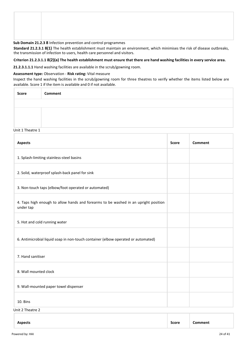**Sub Domain 21.2.3 8** Infection prevention and control programmes

**Standard 21.2.3.1 8(1)** The health establishment must maintain an environment, which minimises the risk of disease outbreaks, the transmission of infection to users, health care personnel and visitors.

#### **Criterion 21.2.3.1.1 8(2)(a) The health establishment must ensure that there are hand washing facilities in every service area.**

**21.2.3.1.1.1** Hand washing facilities are available in the scrub/gowning room.

#### **Assessment type:** Observation - **Risk rating:** Vital measure

Inspect the hand washing facilities in the scrub/gowning room for three theatres to verify whether the items listed below are available. Score 1 if the item is available and 0 if not available.

| Score | Comment |
|-------|---------|
|       |         |
|       |         |
|       |         |

#### Unit 1 Theatre 1

| <b>Aspects</b>                                                                                   | <b>Score</b> | <b>Comment</b> |
|--------------------------------------------------------------------------------------------------|--------------|----------------|
| 1. Splash-limiting stainless-steel basins                                                        |              |                |
| 2. Solid, waterproof splash-back panel for sink                                                  |              |                |
| 3. Non-touch taps (elbow/foot operated or automated)                                             |              |                |
| 4. Taps high enough to allow hands and forearms to be washed in an upright position<br>under tap |              |                |
| 5. Hot and cold running water                                                                    |              |                |
| 6. Antimicrobial liquid soap in non-touch container (elbow operated or automated)                |              |                |
| 7. Hand sanitiser                                                                                |              |                |
| 8. Wall mounted clock                                                                            |              |                |
| 9. Wall-mounted paper towel dispenser                                                            |              |                |
| 10. Bins                                                                                         |              |                |
| Unit 2 Theatre 2                                                                                 |              |                |

| . | <b>Aspects</b> | <b>Score</b> | omment |
|---|----------------|--------------|--------|
|---|----------------|--------------|--------|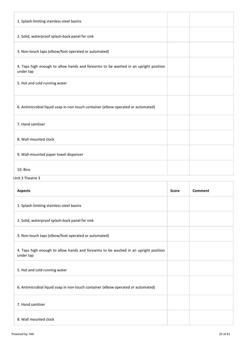| 1. Splash-limiting stainless-steel basins                                                        |  |
|--------------------------------------------------------------------------------------------------|--|
| 2. Solid, waterproof splash-back panel for sink                                                  |  |
| 3. Non-touch taps (elbow/foot operated or automated)                                             |  |
| 4. Taps high enough to allow hands and forearms to be washed in an upright position<br>under tap |  |
| 5. Hot and cold running water                                                                    |  |
| 6. Antimicrobial liquid soap in non-touch container (elbow operated or automated)                |  |
| 7. Hand sanitiser                                                                                |  |
| 8. Wall mounted clock                                                                            |  |
| 9. Wall-mounted paper towel dispenser                                                            |  |
| 10. Bins                                                                                         |  |
| Unit 3 Theatre 3                                                                                 |  |

| <b>Aspects</b>                                                                                   | <b>Score</b> | Comment |
|--------------------------------------------------------------------------------------------------|--------------|---------|
| 1. Splash-limiting stainless-steel basins                                                        |              |         |
| 2. Solid, waterproof splash-back panel for sink                                                  |              |         |
| 3. Non-touch taps (elbow/foot operated or automated)                                             |              |         |
| 4. Taps high enough to allow hands and forearms to be washed in an upright position<br>under tap |              |         |
| 5. Hot and cold running water                                                                    |              |         |
| 6. Antimicrobial liquid soap in non-touch container (elbow operated or automated)                |              |         |
| 7. Hand sanitiser                                                                                |              |         |
| 8. Wall mounted clock                                                                            |              |         |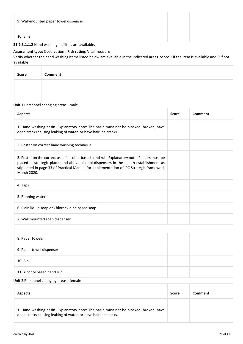| 9. Wall-mounted paper towel dispenser |  |
|---------------------------------------|--|
| 10. Bins                              |  |

#### **21.2.3.1.1.2** Hand washing facilities are available.

#### **Assessment type:** Observation - **Risk rating:** Vital measure

Verify whether the hand washing items listed below are available in the indicated areas. Score 1 if the item is available and 0 if not available

| Score | Comment |  |
|-------|---------|--|
|       |         |  |
|       |         |  |

#### Unit 1 Personnel changing areas - male

| <b>Aspects</b>                                                                                                                                                                                                                                                                                | <b>Score</b> | Comment |
|-----------------------------------------------------------------------------------------------------------------------------------------------------------------------------------------------------------------------------------------------------------------------------------------------|--------------|---------|
| 1. Hand washing basin. Explanatory note: The basin must not be blocked, broken, have<br>deep cracks causing leaking of water, or have hairline cracks.                                                                                                                                        |              |         |
| 2. Poster on correct hand washing technique                                                                                                                                                                                                                                                   |              |         |
| 3. Poster on the correct use of alcohol-based hand rub. Explanatory note: Posters must be<br>placed at strategic places and above alcohol dispensers in the health establishment as<br>stipulated in page 33 of Practical Manual for Implementation of IPC Strategic framework<br>March 2020. |              |         |
| 4. Taps                                                                                                                                                                                                                                                                                       |              |         |
| 5. Running water                                                                                                                                                                                                                                                                              |              |         |
| 6. Plain liquid soap or Chlorhexidine based soap                                                                                                                                                                                                                                              |              |         |
| 7. Wall mounted soap dispenser                                                                                                                                                                                                                                                                |              |         |
|                                                                                                                                                                                                                                                                                               |              |         |
| 8. Paper towels                                                                                                                                                                                                                                                                               |              |         |
| 9. Paper towel dispenser                                                                                                                                                                                                                                                                      |              |         |
| 10. Bin                                                                                                                                                                                                                                                                                       |              |         |
| 11. Alcohol based hand rub                                                                                                                                                                                                                                                                    |              |         |

#### Unit 2 Personnel changing areas - female

| <b>Aspects</b>                                                                                                                                         | Score | Comment |
|--------------------------------------------------------------------------------------------------------------------------------------------------------|-------|---------|
| 1. Hand washing basin. Explanatory note: The basin must not be blocked, broken, have<br>deep cracks causing leaking of water, or have hairline cracks. |       |         |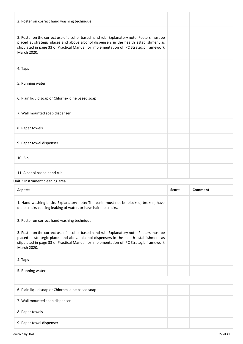| 2. Poster on correct hand washing technique                                                                                                                                                                                                                                                   |  |
|-----------------------------------------------------------------------------------------------------------------------------------------------------------------------------------------------------------------------------------------------------------------------------------------------|--|
| 3. Poster on the correct use of alcohol-based hand rub. Explanatory note: Posters must be<br>placed at strategic places and above alcohol dispensers in the health establishment as<br>stipulated in page 33 of Practical Manual for Implementation of IPC Strategic framework<br>March 2020. |  |
| 4. Taps                                                                                                                                                                                                                                                                                       |  |
| 5. Running water                                                                                                                                                                                                                                                                              |  |
| 6. Plain liquid soap or Chlorhexidine based soap                                                                                                                                                                                                                                              |  |
| 7. Wall mounted soap dispenser                                                                                                                                                                                                                                                                |  |
| 8. Paper towels                                                                                                                                                                                                                                                                               |  |
| 9. Paper towel dispenser                                                                                                                                                                                                                                                                      |  |
| 10. Bin                                                                                                                                                                                                                                                                                       |  |
| 11. Alcohol based hand rub                                                                                                                                                                                                                                                                    |  |
| Unit 3 Instrument cleaning area                                                                                                                                                                                                                                                               |  |

| <b>Aspects</b>                                                                                                                                                                                                                                                                                | <b>Score</b> | Comment |
|-----------------------------------------------------------------------------------------------------------------------------------------------------------------------------------------------------------------------------------------------------------------------------------------------|--------------|---------|
| 1. Hand washing basin. Explanatory note: The basin must not be blocked, broken, have<br>deep cracks causing leaking of water, or have hairline cracks.                                                                                                                                        |              |         |
| 2. Poster on correct hand washing technique                                                                                                                                                                                                                                                   |              |         |
| 3. Poster on the correct use of alcohol-based hand rub. Explanatory note: Posters must be<br>placed at strategic places and above alcohol dispensers in the health establishment as<br>stipulated in page 33 of Practical Manual for Implementation of IPC Strategic framework<br>March 2020. |              |         |
| 4. Taps                                                                                                                                                                                                                                                                                       |              |         |
| 5. Running water                                                                                                                                                                                                                                                                              |              |         |
|                                                                                                                                                                                                                                                                                               |              |         |
| 6. Plain liquid soap or Chlorhexidine based soap                                                                                                                                                                                                                                              |              |         |
| 7. Wall mounted soap dispenser                                                                                                                                                                                                                                                                |              |         |
| 8. Paper towels                                                                                                                                                                                                                                                                               |              |         |
| 9. Paper towel dispenser                                                                                                                                                                                                                                                                      |              |         |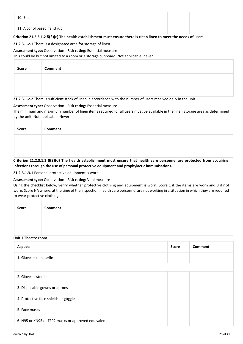| 10. Bin                    |  |
|----------------------------|--|
| 11. Alcohol based hand rub |  |

#### **Criterion 21.2.3.1.2 8(2)(c) The health establishment must ensure there is clean linen to meet the needs of users.**

#### **21.2.3.1.2.1** There is a designated area for storage of linen.

#### **Assessment type:** Observation - **Risk rating:** Essential measure

This could be but not limited to a room or a storage cupboard. Not applicable: never

| <b>Score</b> | Comment |  |  |
|--------------|---------|--|--|
|              |         |  |  |
|              |         |  |  |

**21.2.3.1.2.2** There is sufficient stock of linen in accordance with the number of users received daily in the unit.

#### **Assessment type:** Observation - **Risk rating:** Essential measure

The minimum and maximum number of linen items required for all users must be available in the linen storage area as determined by the unit. Not applicable: Never

| Score | <b>Comment</b>                                                                                                            |
|-------|---------------------------------------------------------------------------------------------------------------------------|
|       |                                                                                                                           |
|       |                                                                                                                           |
|       | Criterion 21.2.3.1.3 8(2)(d) The health establishment must ensure that health care personnel are protected from acquiring |

#### **Criterion 21.2.3.1.3 8(2)(d) The health establishment must ensure that health care personnel are protected from acquiring infections through the use of personal protective equipment and prophylactic immunisations.**

**21.2.3.1.3.1** Personal protective equipment is worn.

#### **Assessment type:** Observation - **Risk rating:** Vital measure

Using the checklist below, verify whether protective clothing and equipment is worn. Score 1 if the items are worn and 0 if not worn. Score NA where, at the time of the inspection, health care personnel are not working in a situation in which they are required to wear protective clothing.

| <b>Score</b> | Comment |
|--------------|---------|
|              |         |
|              |         |

#### Unit 1 Theatre room

| <b>Aspects</b>                                      |  | <b>Comment</b> |
|-----------------------------------------------------|--|----------------|
| 1. Gloves - nonsterile                              |  |                |
|                                                     |  |                |
| 2. Gloves - sterile                                 |  |                |
| 3. Disposable gowns or aprons                       |  |                |
| 4. Protective face shields or goggles               |  |                |
| 5. Face masks                                       |  |                |
| 6. N95 or KN95 or FFP2 masks or approved equivalent |  |                |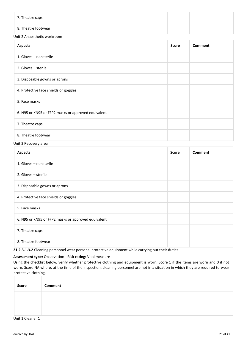| 7. Theatre caps     |  |
|---------------------|--|
| 8. Theatre footwear |  |

#### Unit 2 Anaesthetic workroom

| <b>Aspects</b>                                      |  | Comment |
|-----------------------------------------------------|--|---------|
| 1. Gloves - nonsterile                              |  |         |
| 2. Gloves - sterile                                 |  |         |
| 3. Disposable gowns or aprons                       |  |         |
| 4. Protective face shields or goggles               |  |         |
| 5. Face masks                                       |  |         |
| 6. N95 or KN95 or FFP2 masks or approved equivalent |  |         |
| 7. Theatre caps                                     |  |         |
| 8. Theatre footwear                                 |  |         |

#### Unit 3 Recovery area

| <b>Aspects</b>                                      | <b>Score</b> | Comment |
|-----------------------------------------------------|--------------|---------|
| 1. Gloves - nonsterile                              |              |         |
| 2. Gloves - sterile                                 |              |         |
| 3. Disposable gowns or aprons                       |              |         |
| 4. Protective face shields or goggles               |              |         |
| 5. Face masks                                       |              |         |
| 6. N95 or KN95 or FFP2 masks or approved equivalent |              |         |
| 7. Theatre caps                                     |              |         |
| 8. Theatre footwear                                 |              |         |

**21.2.3.1.3.2** Cleaning personnel wear personal protective equipment while carrying out their duties.

#### **Assessment type:** Observation - **Risk rating:** Vital measure

Using the checklist below, verify whether protective clothing and equipment is worn. Score 1 if the items are worn and 0 if not worn. Score NA where, at the time of the inspection, cleaning personnel are not in a situation in which they are required to wear protective clothing.

| Score | Comment |
|-------|---------|
|       |         |
|       |         |

Unit 1 Cleaner 1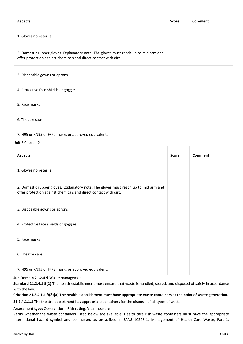| <b>Aspects</b>                                                                                                                                           | <b>Score</b> | Comment |
|----------------------------------------------------------------------------------------------------------------------------------------------------------|--------------|---------|
| 1. Gloves non-sterile                                                                                                                                    |              |         |
| 2. Domestic rubber gloves. Explanatory note: The gloves must reach up to mid arm and<br>offer protection against chemicals and direct contact with dirt. |              |         |
| 3. Disposable gowns or aprons                                                                                                                            |              |         |
| 4. Protective face shields or goggles                                                                                                                    |              |         |
| 5. Face masks                                                                                                                                            |              |         |
| 6. Theatre caps                                                                                                                                          |              |         |
| 7. N95 or KN95 or FFP2 masks or approved equivalent.                                                                                                     |              |         |

Unit 2 Cleaner 2

| <b>Aspects</b>                                                                                                                                           | <b>Score</b> | Comment |
|----------------------------------------------------------------------------------------------------------------------------------------------------------|--------------|---------|
| 1. Gloves non-sterile                                                                                                                                    |              |         |
| 2. Domestic rubber gloves. Explanatory note: The gloves must reach up to mid arm and<br>offer protection against chemicals and direct contact with dirt. |              |         |
| 3. Disposable gowns or aprons                                                                                                                            |              |         |
| 4. Protective face shields or goggles                                                                                                                    |              |         |
| 5. Face masks                                                                                                                                            |              |         |
| 6. Theatre caps                                                                                                                                          |              |         |
| 7. N95 or KN95 or FFP2 masks or approved equivalent.                                                                                                     |              |         |

#### **Sub Domain 21.2.4 9** Waste management

**Standard 21.2.4.1 9(1)** The health establishment must ensure that waste is handled, stored, and disposed of safely in accordance with the law.

#### **Criterion 21.2.4.1.1 9(2)(a) The health establishment must have appropriate waste containers at the point of waste generation.**

**21.2.4.1.1.1** The theatre department has appropriate containers for the disposal of all types of waste.

#### **Assessment type:** Observation - **Risk rating:** Vital measure

Verify whether the waste containers listed below are available. Health care risk waste containers must have the appropriate international hazard symbol and be marked as prescribed in SANS 10248-1: Management of Health Care Waste, Part 1: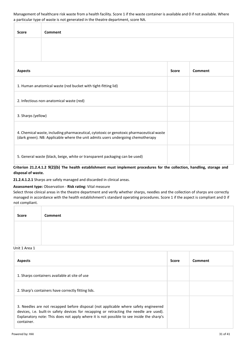Management of healthcare risk waste from a health facility. Score 1 if the waste container is available and 0 if not available. Where a particular type of waste is not generated in the theatre department, score NA.

| <b>Score</b>                                                                                                                                                                 | <b>Comment</b>                                                                   |              |                |
|------------------------------------------------------------------------------------------------------------------------------------------------------------------------------|----------------------------------------------------------------------------------|--------------|----------------|
|                                                                                                                                                                              |                                                                                  |              |                |
| <b>Aspects</b>                                                                                                                                                               |                                                                                  | <b>Score</b> | <b>Comment</b> |
|                                                                                                                                                                              | 1. Human anatomical waste (red bucket with tight-fitting lid)                    |              |                |
|                                                                                                                                                                              | 2. Infectious non-anatomical waste (red)                                         |              |                |
| 3. Sharps (yellow)                                                                                                                                                           |                                                                                  |              |                |
| 4. Chemical waste, including pharmaceutical, cytotoxic or genotoxic pharmaceutical waste<br>(dark green). NB: Applicable where the unit admits users undergoing chemotherapy |                                                                                  |              |                |
|                                                                                                                                                                              | 5. General waste (black, beige, white or transparent packaging can be used)<br>. |              |                |

**Criterion 21.2.4.1.2 9(2)(b) The health establishment must implement procedures for the collection, handling, storage and disposal of waste.**

**21.2.4.1.2.1** Sharps are safely managed and discarded in clinical areas.

#### **Assessment type:** Observation - **Risk rating:** Vital measure

Select three clinical areas in the theatre department and verify whether sharps, needles and the collection of sharps are correctly managed in accordance with the health establishment's standard operating procedures. Score 1 if the aspect is compliant and 0 if not compliant.

| <b>Score</b> | Comment |
|--------------|---------|
|              |         |
|              |         |

#### Unit 1 Area 1

| <b>Aspects</b>                                                                                                                                                                                                                                                                           | Score | Comment |
|------------------------------------------------------------------------------------------------------------------------------------------------------------------------------------------------------------------------------------------------------------------------------------------|-------|---------|
| 1. Sharps containers available at site of use                                                                                                                                                                                                                                            |       |         |
| 2. Sharp's containers have correctly fitting lids.                                                                                                                                                                                                                                       |       |         |
| 3. Needles are not recapped before disposal (not applicable where safety engineered<br>devices, i.e. built-in safety devices for recapping or retracting the needle are used).<br>Explanatory note: This does not apply where it is not possible to see inside the sharp's<br>container. |       |         |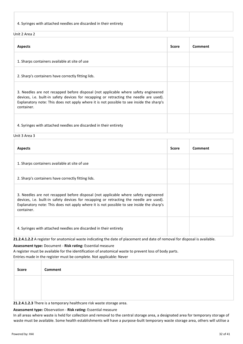#### Unit 2 Area 2

| <b>Aspects</b>                                                                                                                                                                                                                                                                           | <b>Score</b> | Comment |
|------------------------------------------------------------------------------------------------------------------------------------------------------------------------------------------------------------------------------------------------------------------------------------------|--------------|---------|
| 1. Sharps containers available at site of use                                                                                                                                                                                                                                            |              |         |
| 2. Sharp's containers have correctly fitting lids.                                                                                                                                                                                                                                       |              |         |
| 3. Needles are not recapped before disposal (not applicable where safety engineered<br>devices, i.e. built-in safety devices for recapping or retracting the needle are used).<br>Explanatory note: This does not apply where it is not possible to see inside the sharp's<br>container. |              |         |
| 4. Syringes with attached needles are discarded in their entirety                                                                                                                                                                                                                        |              |         |

Unit 3 Area 3

| <b>Aspects</b>                                                                                                                                                                                                                                                                           | <b>Score</b> | Comment |
|------------------------------------------------------------------------------------------------------------------------------------------------------------------------------------------------------------------------------------------------------------------------------------------|--------------|---------|
| 1. Sharps containers available at site of use                                                                                                                                                                                                                                            |              |         |
| 2. Sharp's containers have correctly fitting lids.                                                                                                                                                                                                                                       |              |         |
| 3. Needles are not recapped before disposal (not applicable where safety engineered<br>devices, i.e. built-in safety devices for recapping or retracting the needle are used).<br>Explanatory note: This does not apply where it is not possible to see inside the sharp's<br>container. |              |         |
| 4. Syringes with attached needles are discarded in their entirety                                                                                                                                                                                                                        |              |         |

**21.2.4.1.2.2** A register for anatomical waste indicating the date of placement and date of removal for disposal is available.

#### **Assessment type:** Document - **Risk rating:** Essential measure

A register must be available for the identification of anatomical waste to prevent loss of body parts. Entries made in the register must be complete. Not applicable: Never

| Score | Comment |
|-------|---------|
|       |         |
|       |         |

#### **21.2.4.1.2.3** There is a temporary healthcare risk waste storage area.

#### **Assessment type:** Observation - **Risk rating:** Essential measure

In all areas where waste is held for collection and removal to the central storage area, a designated area for temporary storage of waste must be available. Some health establishments will have a purpose-built temporary waste storage area, others will utilise a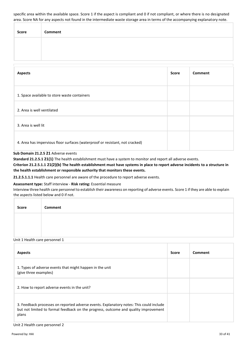specific area within the available space. Score 1 if the aspect is compliant and 0 if not compliant, or where there is no designated area. Score NA for any aspects not found in the intermediate waste storage area in terms of the accompanying explanatory note.

| Score | Comment |
|-------|---------|
|       |         |
|       |         |

| <b>Aspects</b>                                                               | <b>Score</b> | <b>Comment</b> |
|------------------------------------------------------------------------------|--------------|----------------|
| 1. Space available to store waste containers                                 |              |                |
| 2. Area is well ventilated                                                   |              |                |
| 3. Area is well lit                                                          |              |                |
| 4. Area has impervious floor surfaces (waterproof or resistant, not cracked) |              |                |

#### **Sub Domain 21.2.5 21** Adverse events

**Standard 21.2.5.1 21(1)** The health establishment must have a system to monitor and report all adverse events.

**Criterion 21.2.5.1.1 21(2)(b) The health establishment must have systems in place to report adverse incidents to a structure in the health establishment or responsible authority that monitors these events.**

**21.2.5.1.1.1** Health care personnel are aware of the procedure to report adverse events.

#### **Assessment type:** Staff interview - **Risk rating:** Essential measure

Interview three health care personnel to establish their awareness on reporting of adverse events. Score 1 if they are able to explain the aspects listed below and 0 if not.

| <b>Score</b> | Comment |
|--------------|---------|
|              |         |
|              |         |

#### Unit 1 Health care personnel 1

| <b>Aspects</b>                                                                                                                                                                          | <b>Score</b> | Comment |
|-----------------------------------------------------------------------------------------------------------------------------------------------------------------------------------------|--------------|---------|
| 1. Types of adverse events that might happen in the unit<br>(give three examples)                                                                                                       |              |         |
| 2. How to report adverse events in the unit?                                                                                                                                            |              |         |
| 3. Feedback processes on reported adverse events. Explanatory notes: This could include<br>but not limited to formal feedback on the progress, outcome and quality improvement<br>plans |              |         |

#### Unit 2 Health care personnel 2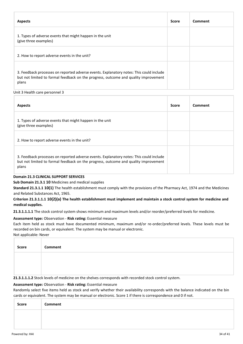| <b>Aspects</b>                                                                                                                                                                          | Score | Comment |
|-----------------------------------------------------------------------------------------------------------------------------------------------------------------------------------------|-------|---------|
| 1. Types of adverse events that might happen in the unit<br>(give three examples)                                                                                                       |       |         |
| 2. How to report adverse events in the unit?                                                                                                                                            |       |         |
| 3. Feedback processes on reported adverse events. Explanatory notes: This could include<br>but not limited to formal feedback on the progress, outcome and quality improvement<br>plans |       |         |

#### Unit 3 Health care personnel 3

| <b>Aspects</b>                                                                                                                                                                          | Score | Comment |
|-----------------------------------------------------------------------------------------------------------------------------------------------------------------------------------------|-------|---------|
| 1. Types of adverse events that might happen in the unit<br>(give three examples)                                                                                                       |       |         |
| 2. How to report adverse events in the unit?                                                                                                                                            |       |         |
| 3. Feedback processes on reported adverse events. Explanatory notes: This could include<br>but not limited to formal feedback on the progress, outcome and quality improvement<br>plans |       |         |

#### **Domain 21.3 CLINICAL SUPPORT SERVICES**

**Sub Domain 21.3.1 10** Medicines and medical supplies

**Standard 21.3.1.1 10(1)** The health establishment must comply with the provisions of the Pharmacy Act, 1974 and the Medicines and Related Substances Act, 1965.

#### **Criterion 21.3.1.1.1 10(2)(a) The health establishment must implement and maintain a stock control system for medicine and medical supplies.**

**21.3.1.1.1.1** The stock control system shows minimum and maximum levels and/or reorder/preferred levels for medicine.

#### **Assessment type:** Observation - **Risk rating:** Essential measure

Each item held as stock must have documented minimum, maximum and/or re-order/preferred levels. These levels must be recorded on bin cards, or equivalent. The system may be manual or electronic.

Not applicable: Never

| <b>Score</b> | <b>Comment</b> |
|--------------|----------------|
|              |                |
|              |                |

**21.3.1.1.1.2** Stock levels of medicine on the shelves corresponds with recorded stock control system.

#### **Assessment type:** Observation - **Risk rating:** Essential measure

Randomly select five items held as stock and verify whether their availability corresponds with the balance indicated on the bin cards or equivalent. The system may be manual or electronic. Score 1 if there is correspondence and 0 if not.

| Score | Comment |
|-------|---------|
|       |         |
|       |         |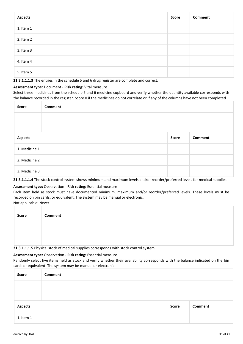| <b>Aspects</b> | <b>Score</b> | <b>Comment</b> |
|----------------|--------------|----------------|
| 1. Item 1      |              |                |
| 2. Item 2      |              |                |
| 3. Item 3      |              |                |
| 4. Item 4      |              |                |
| 5. Item 5      |              |                |

**21.3.1.1.1.3** The entries in the schedule 5 and 6 drug register are complete and correct.

#### **Assessment type:** Document - **Risk rating:** Vital measure

Select three medicines from the schedule 5 and 6 medicine cupboard and verify whether the quantity available corresponds with the balance recorded in the register. Score 0 if the medicines do not correlate or if any of the columns have not been completed

| Score          | Comment |       |         |
|----------------|---------|-------|---------|
|                |         |       |         |
|                |         |       |         |
| <b>Aspects</b> |         | Score | Comment |
| 1. Medicine 1  |         |       |         |
| 2. Medicine 2  |         |       |         |
| 3. Medicine 3  |         |       |         |

**21.3.1.1.1.4** The stock control system shows minimum and maximum levels and/or reorder/preferred levels for medical supplies.

#### **Assessment type:** Observation - **Risk rating:** Essential measure

Each item held as stock must have documented minimum, maximum and/or reorder/preferred levels. These levels must be recorded on bin cards, or equivalent. The system may be manual or electronic.

Not applicable: Never

| Score | Comment |
|-------|---------|
|       |         |
|       |         |

**21.3.1.1.1.5** Physical stock of medical supplies corresponds with stock control system.

#### **Assessment type:** Observation - **Risk rating:** Essential measure

Randomly select five items held as stock and verify whether their availability corresponds with the balance indicated on the bin cards or equivalent. The system may be manual or electronic.

| <b>Score</b>   | Comment |              |         |
|----------------|---------|--------------|---------|
|                |         |              |         |
|                |         |              |         |
| <b>Aspects</b> |         | <b>Score</b> | Comment |
| 1. Item 1      |         |              |         |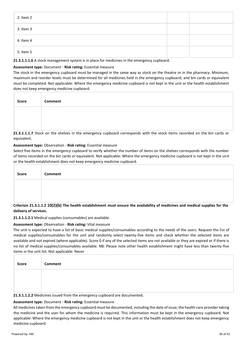| 2. Item 2 |  |
|-----------|--|
| 3. Item 3 |  |
| 4. Item 4 |  |
| 5. Item 5 |  |

**21.3.1.1.1.6** A stock management system is in place for medicines in the emergency cupboard.

#### **Assessment type:** Document - **Risk rating:** Essential measure

The stock in the emergency cupboard must be managed in the same way as stock on the theatre or in the pharmacy. Minimum, maximum and reorder levels must be determined for all medicines held in the emergency cupboard, and bin cards or equivalent must be completed. Not applicable: Where the emergency medicine cupboard is not kept in the unit or the health establishment does not keep emergency medicine cupboard.

| Score | Comment |
|-------|---------|
|       |         |
|       |         |

**21.3.1.1.1.7** Stock on the shelves in the emergency cupboard corresponds with the stock items recorded on the bin cards or equivalent.

#### **Assessment type:** Observation - **Risk rating:** Essential measure

Select five items in the emergency cupboard to verify whether the number of items on the shelves corresponds with the number of items recorded on the bin cards or equivalent. Not applicable: Where the emergency medicine cupboard is not kept in the unit or the health establishment does not keep emergency medicine cupboard.

| Cultonian 24, 2, 4, 2, 40(2)(h) The health establishment must conver the qualibility of medicines and medical quantize for the |
|--------------------------------------------------------------------------------------------------------------------------------|

#### **Criterion 21.3.1.1.2 10(2)(b) The health establishment must ensure the availability of medicines and medical supplies for the delivery of services.**

**21.3.1.1.2.1** Medical supplies (consumables) are available.

#### **Assessment type:** Observation - **Risk rating:** Vital measure

The unit is expected to have a list of basic medical supplies/consumables according to the needs of the users. Request the list of medical supplies/consumables for the unit and randomly select twenty-five items and check whether the selected items are available and not expired (where applicable). Score 0 if any of the selected items are not available or they are expired or if there is no list of medical supplies/consumables available. NB: Please note other health establishment might have less than twenty-five items in the unit list. Not applicable: Never

| Score | Comment |
|-------|---------|
|       |         |
|       |         |

#### **21.3.1.1.2.2** Medicines issued from the emergency cupboard are documented.

#### **Assessment type:** Document - **Risk rating:** Essential measure

All medicines taken from the emergency cupboard must be documented, including the date of issue, the health care provider taking the medicine and the user for whom the medicine is required. This information must be kept in the emergency cupboard. Not applicable: Where the emergency medicine cupboard is not kept in the unit or the health establishment does not keep emergency medicine cupboard.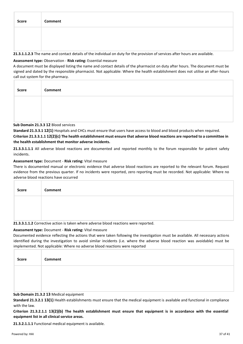| <b>Score</b> | Comment |
|--------------|---------|
|              |         |
|              |         |

**21.3.1.1.2.3** The name and contact details of the individual on duty for the provision of services after hours are available.

#### **Assessment type:** Observation - **Risk rating:** Essential measure

A document must be displayed listing the name and contact details of the pharmacist on duty after hours. The document must be signed and dated by the responsible pharmacist. Not applicable: Where the health establishment does not utilise an after-hours call out system for the pharmacy.

| Score | Comment |
|-------|---------|
|       |         |
|       |         |

#### **Sub Domain 21.3.3 12** Blood services

**Standard 21.3.3.1 12(1)** Hospitals and CHCs must ensure that users have access to blood and blood products when required.

**Criterion 21.3.3.1.1 12(2)(c) The health establishment must ensure that adverse blood reactions are reported to a committee in the health establishment that monitor adverse incidents.**

**21.3.3.1.1.1** All adverse blood reactions are documented and reported monthly to the forum responsible for patient safety incidents.

#### **Assessment type:** Document - **Risk rating:** Vital measure

There is documented manual or electronic evidence that adverse blood reactions are reported to the relevant forum. Request evidence from the previous quarter. If no incidents were reported, zero reporting must be recorded. Not applicable: Where no adverse blood reactions have occurred

| <b>Score</b> | <b>Comment</b>                                                                       |
|--------------|--------------------------------------------------------------------------------------|
|              |                                                                                      |
|              |                                                                                      |
|              | 21.3.3.1.1.2 Corrective action is taken where adverse blood reactions were reported. |

#### **Assessment type:** Document - **Risk rating:** Vital measure

Documented evidence reflecting the actions that were taken following the investigation must be available. All necessary actions identified during the investigation to avoid similar incidents (i.e. where the adverse blood reaction was avoidable) must be implemented. Not applicable: Where no adverse blood reactions were reported

| Score | Comment |
|-------|---------|
|       |         |
|       |         |

#### **Sub Domain 21.3.2 13** Medical equipment

**Standard 21.3.2.1 13(1)** Health establishments must ensure that the medical equipment is available and functional in compliance with the law.

**Criterion 21.3.2.1.1 13(2)(b) The health establishment must ensure that equipment is in accordance with the essential equipment list in all clinical service areas.**

**21.3.2.1.1.1** Functional medical equipment is available.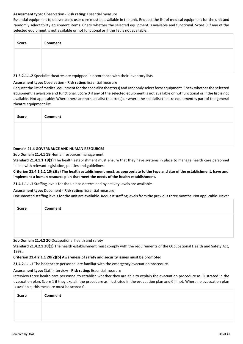#### **Assessment type:** Observation - **Risk rating:** Essential measure

Essential equipment to deliver basic user care must be available in the unit. Request the list of medical equipment for the unit and randomly select thirty equipment items. Check whether the selected equipment is available and functional. Score 0 if any of the selected equipment is not available or not functional or if the list is not available.

| Score | Comment |
|-------|---------|
|       |         |
|       |         |

**21.3.2.1.1.2** Specialist theatres are equipped in accordance with their inventory lists.

#### **Assessment type:** Observation - **Risk rating:** Essential measure

Request the list of medical equipment for the specialist theatre(s) and randomly select forty equipment. Check whether the selected equipment is available and functional. Score 0 if any of the selected equipment is not available or not functional or if the list is not available. Not applicable: Where there are no specialist theatre(s) or where the specialist theatre equipment is part of the general theatre equipment list.

| <b>Score</b> | Comment |  |  |  |  |
|--------------|---------|--|--|--|--|
|              |         |  |  |  |  |
|              |         |  |  |  |  |

#### **Domain 21.4 GOVERNANCE AND HUMAN RESOURCES**

**Sub Domain 21.4.1 19** Human resources management

**Standard 21.4.1.1 19(1)** The health establishment must ensure that they have systems in place to manage health care personnel in line with relevant legislation, policies and guidelines.

**Criterion 21.4.1.1.1 19(2)(a) The health establishment must, as appropriate to the type and size of the establishment, have and implement a human resource plan that meet the needs of the health establishment.**

**21.4.1.1.1.1** Staffing levels for the unit as determined by activity levels are available.

**Assessment type:** Document - **Risk rating:** Essential measure

Documented staffing levels for the unit are available. Request staffing levels from the previous three months. Not applicable: Never

| Score | Comment |
|-------|---------|
|       |         |
|       |         |

**Sub Domain 21.4.2 20** Occupational health and safety

**Standard 21.4.2.1 20(1)** The health establishment must comply with the requirements of the Occupational Health and Safety Act, 1993.

#### **Criterion 21.4.2.1.1 20(2)(b) Awareness of safety and security issues must be promoted**

**21.4.2.1.1.1** The healthcare personnel are familiar with the emergency evacuation procedure.

#### **Assessment type:** Staff interview - **Risk rating:** Essential measure

Interview three health care personnel to establish whether they are able to explain the evacuation procedure as illustrated in the evacuation plan. Score 1 if they explain the procedure as illustrated in the evacuation plan and 0 if not. Where no evacuation plan is available, this measure must be scored 0.

| Score | Comment |
|-------|---------|
|       |         |
|       |         |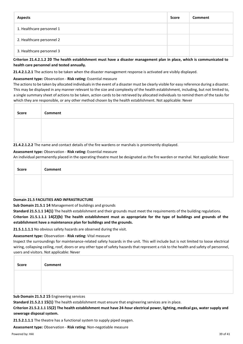| <b>Aspects</b>            | <b>Score</b> | <b>Comment</b> |
|---------------------------|--------------|----------------|
| 1. Healthcare personnel 1 |              |                |
| 2. Healthcare personnel 2 |              |                |
| 3. Healthcare personnel 3 |              |                |
|                           |              |                |

#### **Criterion 21.4.2.1.2 20 The health establishment must have a disaster management plan in place, which is communicated to health care personnel and tested annually.**

**21.4.2.1.2.1** The actions to be taken when the disaster management response is activated are visibly displayed.

#### **Assessment type:** Observation - **Risk rating:** Essential measure

The actions to be taken by allocated individuals in the event of a disaster must be clearly visible for easy reference during a disaster. This may be displayed in any manner relevant to the size and complexity of the health establishment, including, but not limited to, a single summary sheet of actions to be taken, action cards to be retrieved by allocated individuals to remind them of the tasks for which they are responsible, or any other method chosen by the health establishment. Not applicable: Never

| <b>Score</b> | Comment |
|--------------|---------|
|              |         |
|              |         |

**21.4.2.1.2.2** The name and contact details of the fire wardens or marshals is prominently displayed.

#### **Assessment type:** Observation - **Risk rating:** Essential measure

An individual permanently placed in the operating theatre must be designated as the fire warden or marshal. Not applicable: Never

| Score | Comment                                     |
|-------|---------------------------------------------|
|       |                                             |
|       |                                             |
|       | Bestelland F. FACULTIES AND INFRASTRUSTURE. |

#### **Domain 21.5 FACILITIES AND INFRASTRUCTURE**

**Sub Domain 21.5.1 14** Management of buildings and grounds

**Standard 21.5.1.1 14(1)** The health establishment and their grounds must meet the requirements of the building regulations.

**Criterion 21.5.1.1.1 14(2)(b) The health establishment must as appropriate for the type of buildings and grounds of the establishment have a maintenance plan for buildings and the grounds.**

**21.5.1.1.1.1** No obvious safety hazards are observed during the visit.

#### **Assessment type:** Observation - **Risk rating:** Vital measure

Inspect the surroundings for maintenance-related safety hazards in the unit. This will include but is not limited to loose electrical wiring, collapsing ceiling, roof, doors or any other type of safety hazards that represent a risk to the health and safety of personnel, users and visitors. Not applicable: Never

| Score | Comment |
|-------|---------|
|       |         |
|       |         |

**Sub Domain 21.5.2 15** Engineering services

**Standard 21.5.2.1 15(1)** The health establishment must ensure that engineering services are in place.

**Criterion 21.5.2.1.1 15(2) The health establishment must have 24-hour electrical power, lighting, medical gas, water supply and sewerage disposal system.**

**21.5.2.1.1.1** The theatre has a functional system to supply piped oxygen.

**Assessment type:** Observation - **Risk rating:** Non-negotiable measure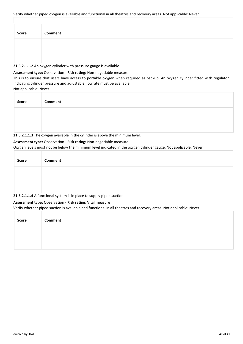| <b>Score</b> | Comment |
|--------------|---------|
|              |         |
|              |         |

#### **21.5.2.1.1.2** An oxygen cylinder with pressure gauge is available.

#### **Assessment type:** Observation - **Risk rating:** Non-negotiable measure

This is to ensure that users have access to portable oxygen when required as backup. An oxygen cylinder fitted with regulator indicating cylinder pressure and adjustable flowrate must be available.

Not applicable: Never

| Score | Comment |  |
|-------|---------|--|
|       |         |  |
|       |         |  |

**21.5.2.1.1.3** The oxygen available in the cylinder is above the minimum level.

#### **Assessment type:** Observation - **Risk rating:** Non-negotiable measure

Oxygen levels must not be below the minimum level indicated in the oxygen cylinder gauge. Not applicable: Never

| <b>Score</b> | Comment                                                               |
|--------------|-----------------------------------------------------------------------|
|              |                                                                       |
|              | 21.5.2.1.1.4 A functional system is in place to supply piped suction. |

#### **Assessment type:** Observation - **Risk rating:** Vital measure

Verify whether piped suction is available and functional in all theatres and recovery areas. Not applicable: Never

| Score | Comment |
|-------|---------|
|       |         |
|       |         |